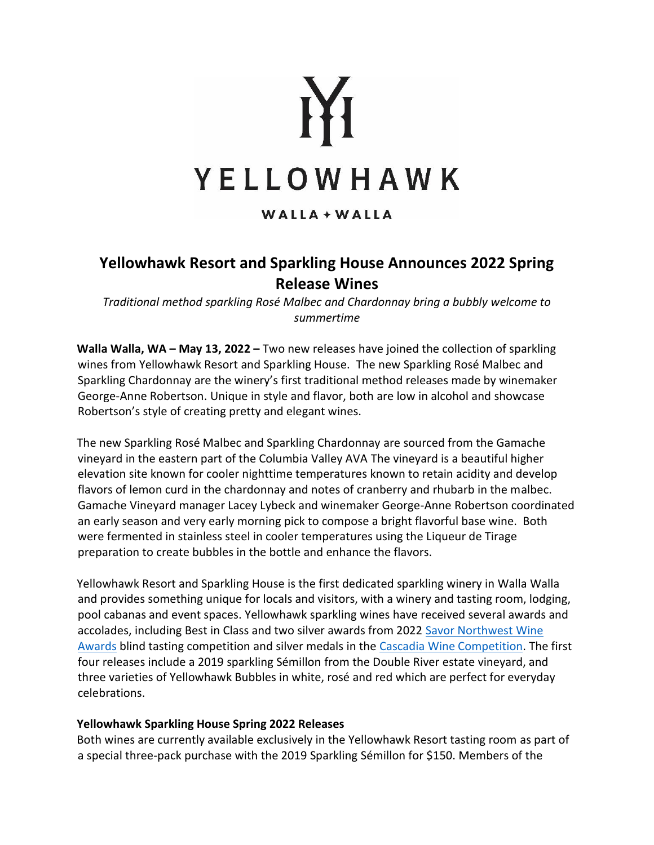

# $WALLA + WALLA$

# **Yellowhawk Resort and Sparkling House Announces 2022 Spring Release Wines**

*Traditional method sparkling Rosé Malbec and Chardonnay bring a bubbly welcome to summertime*

**Walla Walla, WA – May 13, 2022 –** Two new releases have joined the collection of sparkling wines from Yellowhawk Resort and Sparkling House. The new Sparkling Rosé Malbec and Sparkling Chardonnay are the winery's first traditional method releases made by winemaker George-Anne Robertson. Unique in style and flavor, both are low in alcohol and showcase Robertson's style of creating pretty and elegant wines.

The new Sparkling Rosé Malbec and Sparkling Chardonnay are sourced from the Gamache vineyard in the eastern part of the Columbia Valley AVA The vineyard is a beautiful higher elevation site known for cooler nighttime temperatures known to retain acidity and develop flavors of lemon curd in the chardonnay and notes of cranberry and rhubarb in the malbec. Gamache Vineyard manager Lacey Lybeck and winemaker George-Anne Robertson coordinated an early season and very early morning pick to compose a bright flavorful base wine. Both were fermented in stainless steel in cooler temperatures using the Liqueur de Tirage preparation to create bubbles in the bottle and enhance the flavors.

Yellowhawk Resort and Sparkling House is the first dedicated sparkling winery in Walla Walla and provides something unique for locals and visitors, with a winery and tasting room, lodging, pool cabanas and event spaces. Yellowhawk sparkling wines have received several awards and accolades, including Best in Class and two silver awards from 2022 [Savor Northwest Wine](https://savornw.com/award-by-year.php)  [Awards](https://savornw.com/award-by-year.php) blind tasting competition and silver medals in the [Cascadia Wine Competition.](https://greatnorthwestwine.com/cascadia-wine-competition/) The first four releases include a 2019 sparkling Sémillon from the Double River estate vineyard, and three varieties of Yellowhawk Bubbles in white, rosé and red which are perfect for everyday celebrations.

### **Yellowhawk Sparkling House Spring 2022 Releases**

Both wines are currently available exclusively in the Yellowhawk Resort tasting room as part of a special three-pack purchase with the 2019 Sparkling Sémillon for \$150. Members of the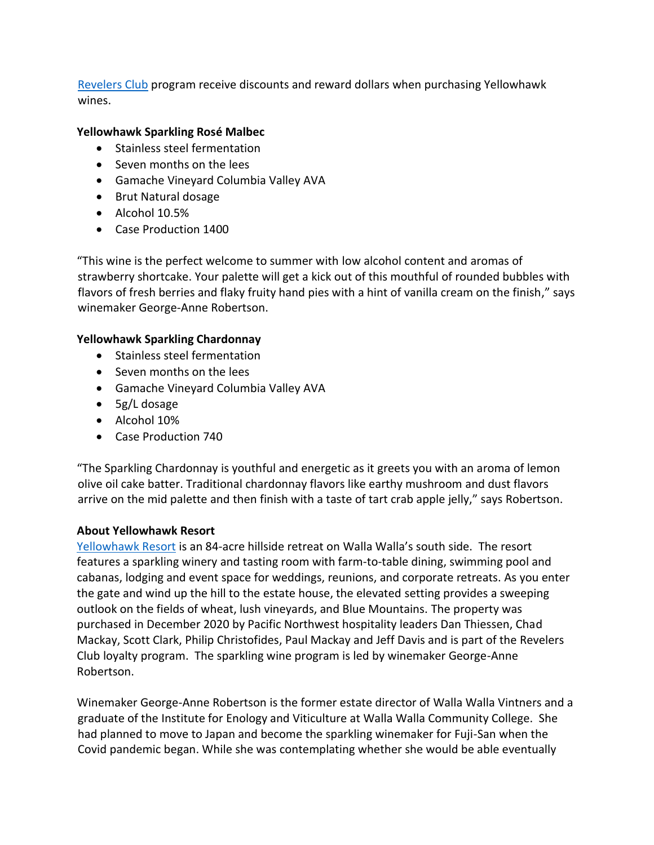[Revelers Club](https://www.fireandvinehospitality.com/revelers/) program receive discounts and reward dollars when purchasing Yellowhawk wines.

## **Yellowhawk Sparkling Rosé Malbec**

- Stainless steel fermentation
- Seven months on the lees
- Gamache Vineyard Columbia Valley AVA
- Brut Natural dosage
- Alcohol 10.5%
- Case Production 1400

"This wine is the perfect welcome to summer with low alcohol content and aromas of strawberry shortcake. Your palette will get a kick out of this mouthful of rounded bubbles with flavors of fresh berries and flaky fruity hand pies with a hint of vanilla cream on the finish," says winemaker George-Anne Robertson.

### **Yellowhawk Sparkling Chardonnay**

- Stainless steel fermentation
- Seven months on the lees
- Gamache Vineyard Columbia Valley AVA
- 5g/L dosage
- Alcohol 10%
- Case Production 740

"The Sparkling Chardonnay is youthful and energetic as it greets you with an aroma of lemon olive oil cake batter. Traditional chardonnay flavors like earthy mushroom and dust flavors arrive on the mid palette and then finish with a taste of tart crab apple jelly," says Robertson.

### **About Yellowhawk Resort**

[Yellowhawk Resort](https://yellowhawkresort.com/) is an 84-acre hillside retreat on Walla Walla's south side. The resort features a sparkling winery and tasting room with farm-to-table dining, swimming pool and cabanas, lodging and event space for weddings, reunions, and corporate retreats. As you enter the gate and wind up the hill to the estate house, the elevated setting provides a sweeping outlook on the fields of wheat, lush vineyards, and Blue Mountains. The property was purchased in December 2020 by Pacific Northwest hospitality leaders Dan Thiessen, Chad Mackay, Scott Clark, Philip Christofides, Paul Mackay and Jeff Davis and is part of the Revelers Club loyalty program. The sparkling wine program is led by winemaker George-Anne Robertson.

Winemaker George-Anne Robertson is the former estate director of Walla Walla Vintners and a graduate of the Institute for Enology and Viticulture at Walla Walla Community College. She had planned to move to Japan and become the sparkling winemaker for Fuji-San when the Covid pandemic began. While she was contemplating whether she would be able eventually